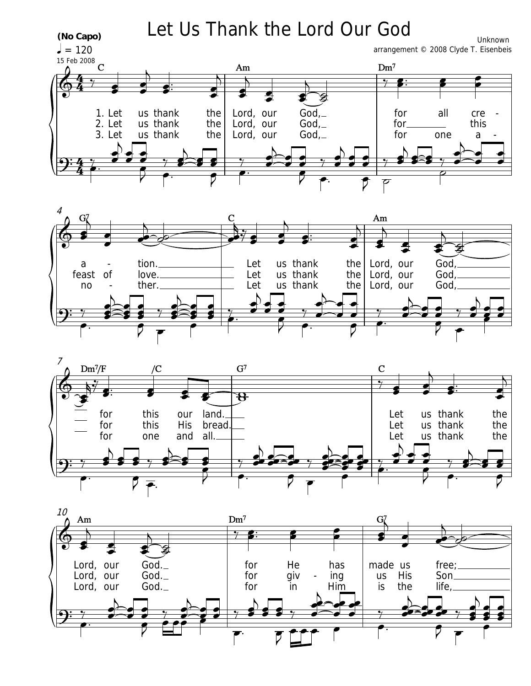